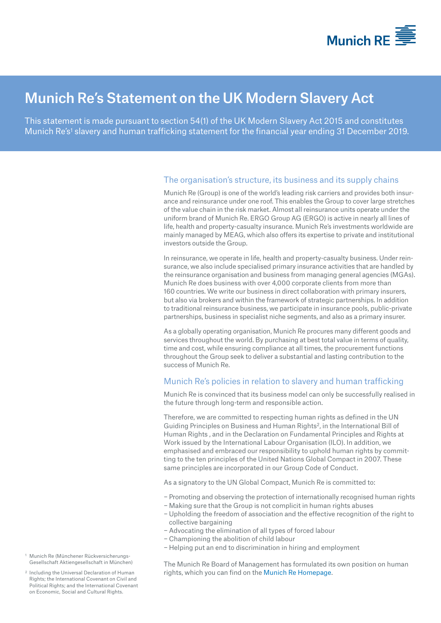

# Munich Re's Statement on the UK Modern Slavery Act

This statement is made pursuant to section 54(1) of the UK Modern Slavery Act 2015 and constitutes Munich Re's<sup>1</sup> slavery and human trafficking statement for the financial year ending 31 December 2019.

# The organisation's structure, its business and its supply chains

Munich Re (Group) is one of the world's leading risk carriers and provides both insurance and reinsurance under one roof. This enables the Group to cover large stretches of the value chain in the risk market. Almost all reinsurance units operate under the uniform brand of Munich Re. ERGO Group AG (ERGO) is active in nearly all lines of life, health and property-casualty insurance. Munich Re's investments worldwide are mainly managed by MEAG, which also offers its expertise to private and institutional investors outside the Group.

In reinsurance, we operate in life, health and property-casualty business. Under reinsurance, we also include specialised primary insurance activities that are handled by the reinsurance organisation and business from managing general agencies (MGAs). Munich Re does business with over 4,000 corporate clients from more than 160 countries. We write our business in direct collaboration with primary insurers, but also via brokers and within the framework of strategic partnerships. In addition to traditional reinsurance business, we participate in insurance pools, public-private partnerships, business in specialist niche segments, and also as a primary insurer.

As a globally operating organisation, Munich Re procures many different goods and services throughout the world. By purchasing at best total value in terms of quality, time and cost, while ensuring compliance at all times, the procurement functions throughout the Group seek to deliver a substantial and lasting contribution to the success of Munich Re.

# Munich Re's policies in relation to slavery and human trafficking

Munich Re is convinced that its business model can only be successfully realised in the future through long-term and responsible action.

Therefore, we are committed to respecting human rights as defined in the UN Guiding Principles on Business and Human Rights2, in the International Bill of Human Rights , and in the Declaration on Fundamental Principles and Rights at Work issued by the International Labour Organisation (ILO). In addition, we emphasised and embraced our responsibility to uphold human rights by committing to the ten principles of the United Nations Global Compact in 2007. These same principles are incorporated in our Group Code of Conduct.

As a signatory to the UN Global Compact, Munich Re is committed to:

- − Promoting and observing the protection of internationally recognised human rights
- − Making sure that the Group is not complicit in human rights abuses
- − Upholding the freedom of association and the effective recognition of the right to collective bargaining
- − Advocating the elimination of all types of forced labour
- − Championing the abolition of child labour
- − Helping put an end to discrimination in hiring and employment

The Munich Re Board of Management has formulated its own position on human rights, which you can find on the Munich [Re Homepage.](https://www.munichre.com/content/dam/munichre/global/content-pieces/documents/Human_Rights_declaration_2020.pdf/_jcr_content/renditions/original./Human_Rights_declaration_2020.pdf)

- <sup>1</sup> Munich Re (Münchener Rückversicherungs-Gesellschaft Aktiengesellschaft in München)
- <sup>2</sup> Including the Universal Declaration of Human Rights; the International Covenant on Civil and Political Rights; and the International Covenant on Economic, Social and Cultural Rights.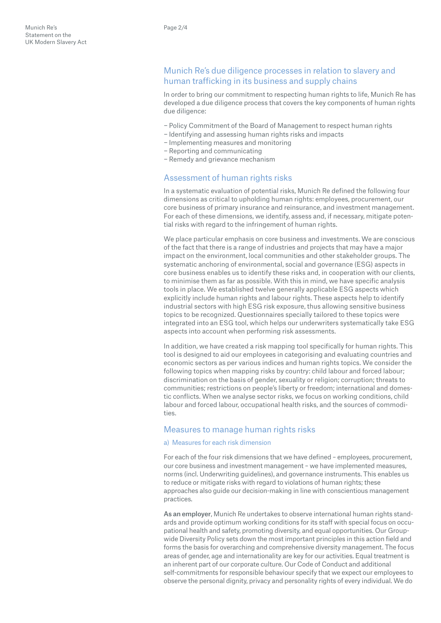# Munich Re's due diligence processes in relation to slavery and human trafficking in its business and supply chains

In order to bring our commitment to respecting human rights to life, Munich Re has developed a due diligence process that covers the key components of human rights due diligence:

- − Policy Commitment of the Board of Management to respect human rights
- − Identifying and assessing human rights risks and impacts
- − Implementing measures and monitoring
- − Reporting and communicating
- − Remedy and grievance mechanism

#### Assessment of human rights risks

In a systematic evaluation of potential risks, Munich Re defined the following four dimensions as critical to upholding human rights: employees, procurement, our core business of primary insurance and reinsurance, and investment management. For each of these dimensions, we identify, assess and, if necessary, mitigate potential risks with regard to the infringement of human rights.

We place particular emphasis on core business and investments. We are conscious of the fact that there is a range of industries and projects that may have a major impact on the environment, local communities and other stakeholder groups. The systematic anchoring of environmental, social and governance (ESG) aspects in core business enables us to identify these risks and, in cooperation with our clients, to minimise them as far as possible. With this in mind, we have specific analysis tools in place. We established twelve generally applicable ESG aspects which explicitly include human rights and labour rights. These aspects help to identify industrial sectors with high ESG risk exposure, thus allowing sensitive business topics to be recognized. Questionnaires specially tailored to these topics were integrated into an ESG tool, which helps our underwriters systematically take ESG aspects into account when performing risk assessments.

In addition, we have created a risk mapping tool specifically for human rights. This tool is designed to aid our employees in categorising and evaluating countries and economic sectors as per various indices and human rights topics. We consider the following topics when mapping risks by country: child labour and forced labour; discrimination on the basis of gender, sexuality or religion; corruption; threats to communities; restrictions on people's liberty or freedom; international and domestic conflicts. When we analyse sector risks, we focus on working conditions, child labour and forced labour, occupational health risks, and the sources of commodities.

#### Measures to manage human rights risks

#### a) Measures for each risk dimension

For each of the four risk dimensions that we have defined – employees, procurement, our core business and investment management – we have implemented measures, norms (incl. Underwriting guidelines), and governance instruments. This enables us to reduce or mitigate risks with regard to violations of human rights; these approaches also guide our decision-making in line with conscientious management practices.

As an employer, Munich Re undertakes to observe international human rights standards and provide optimum working conditions for its staff with special focus on occupational health and safety, promoting diversity, and equal opportunities. Our Groupwide Diversity Policy sets down the most important principles in this action field and forms the basis for overarching and comprehensive diversity management. The focus areas of gender, age and internationality are key for our activities. Equal treatment is an inherent part of our corporate culture. Our Code of Conduct and additional self-commitments for responsible behaviour specify that we expect our employees to observe the personal dignity, privacy and personality rights of every individual. We do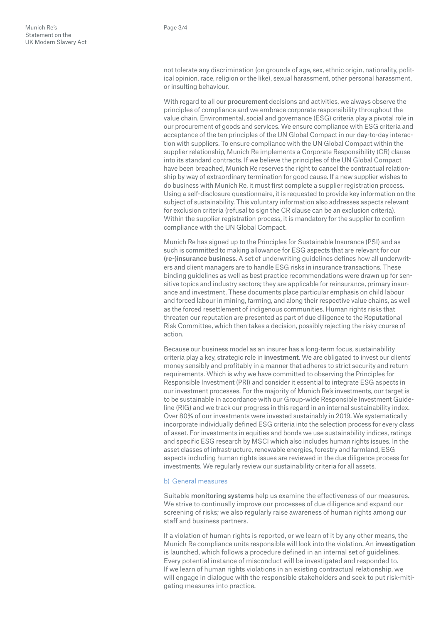not tolerate any discrimination (on grounds of age, sex, ethnic origin, nationality, political opinion, race, religion or the like), sexual harassment, other personal harassment, or insulting behaviour.

With regard to all our procurement decisions and activities, we always observe the principles of compliance and we embrace corporate responsibility throughout the value chain. Environmental, social and governance (ESG) criteria play a pivotal role in our procurement of goods and services. We ensure compliance with ESG criteria and acceptance of the ten principles of the UN Global Compact in our day-to-day interaction with suppliers. To ensure compliance with the UN Global Compact within the supplier relationship, Munich Re implements a Corporate Responsibility (CR) clause into its standard contracts. If we believe the principles of the UN Global Compact have been breached, Munich Re reserves the right to cancel the contractual relationship by way of extraordinary termination for good cause. If a new supplier wishes to do business with Munich Re, it must first complete a supplier registration process. Using a self-disclosure questionnaire, it is requested to provide key information on the subject of sustainability. This voluntary information also addresses aspects relevant for exclusion criteria (refusal to sign the CR clause can be an exclusion criteria). Within the supplier registration process, it is mandatory for the supplier to confirm compliance with the UN Global Compact.

Munich Re has signed up to the Principles for Sustainable Insurance (PSI) and as such is committed to making allowance for ESG aspects that are relevant for our (re-)insurance business. A set of underwriting guidelines defines how all underwriters and client managers are to handle ESG risks in insurance transactions. These binding guidelines as well as best practice recommendations were drawn up for sensitive topics and industry sectors; they are applicable for reinsurance, primary insurance and investment. These documents place particular emphasis on child labour and forced labour in mining, farming, and along their respective value chains, as well as the forced resettlement of indigenous communities. Human rights risks that threaten our reputation are presented as part of due diligence to the Reputational Risk Committee, which then takes a decision, possibly rejecting the risky course of action.

Because our business model as an insurer has a long-term focus, sustainability criteria play a key, strategic role in investment. We are obligated to invest our clients' money sensibly and profitably in a manner that adheres to strict security and return requirements. Which is why we have committed to observing the Principles for Responsible Investment (PRI) and consider it essential to integrate ESG aspects in our investment processes. For the majority of Munich Re's investments, our target is to be sustainable in accordance with our Group-wide Responsible Investment Guideline (RIG) and we track our progress in this regard in an internal sustainability index. Over 80% of our investments were invested sustainably in 2019. We systematically incorporate individually defined ESG criteria into the selection process for every class of asset. For investments in equities and bonds we use sustainability indices, ratings and specific ESG research by MSCI which also includes human rights issues. In the asset classes of infrastructure, renewable energies, forestry and farmland, ESG aspects including human rights issues are reviewed in the due diligence process for investments. We regularly review our sustainability criteria for all assets.

#### b) General measures

Suitable monitoring systems help us examine the effectiveness of our measures. We strive to continually improve our processes of due diligence and expand our screening of risks; we also regularly raise awareness of human rights among our staff and business partners.

If a violation of human rights is reported, or we learn of it by any other means, the Munich Re compliance units responsible will look into the violation. An investigation is launched, which follows a procedure defined in an internal set of guidelines. Every potential instance of misconduct will be investigated and responded to. If we learn of human rights violations in an existing contractual relationship, we will engage in dialogue with the responsible stakeholders and seek to put risk-mitigating measures into practice.